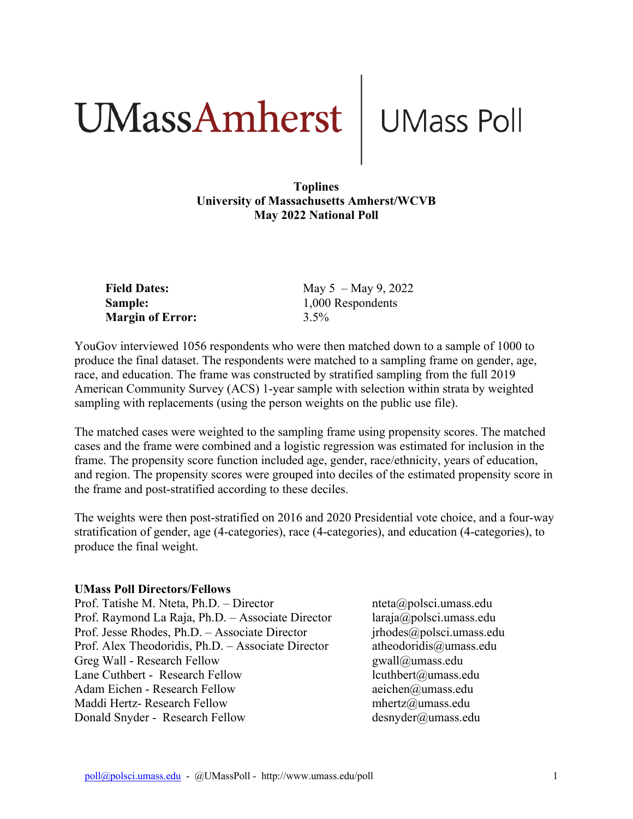# UMassAmherst UMass Poll

#### **Toplines University of Massachusetts Amherst/WCVB May 2022 National Poll**

| <b>Field Dates:</b>     | May $5 -$ May 9, 2022 |
|-------------------------|-----------------------|
| <b>Sample:</b>          | 1,000 Respondents     |
| <b>Margin of Error:</b> | $3.5\%$               |

YouGov interviewed 1056 respondents who were then matched down to a sample of 1000 to produce the final dataset. The respondents were matched to a sampling frame on gender, age, race, and education. The frame was constructed by stratified sampling from the full 2019 American Community Survey (ACS) 1-year sample with selection within strata by weighted sampling with replacements (using the person weights on the public use file).

The matched cases were weighted to the sampling frame using propensity scores. The matched cases and the frame were combined and a logistic regression was estimated for inclusion in the frame. The propensity score function included age, gender, race/ethnicity, years of education, and region. The propensity scores were grouped into deciles of the estimated propensity score in the frame and post-stratified according to these deciles.

The weights were then post-stratified on 2016 and 2020 Presidential vote choice, and a four-way stratification of gender, age (4-categories), race (4-categories), and education (4-categories), to produce the final weight.

#### **UMass Poll Directors/Fellows**

Prof. Tatishe M. Nteta, Ph.D. – Director nteta@polsci.umass.edu Prof. Raymond La Raja, Ph.D. – Associate Director laraja@polsci.umass.edu Prof. Jesse Rhodes, Ph.D. – Associate Director *irhodes@polsci.umass.edu* Prof. Alex Theodoridis, Ph.D. – Associate Director atheodoridis@umass.edu Greg Wall - Research Fellow gwall@umass.edu Lane Cuthbert - Research Fellow lcuthbert@umass.edu Adam Eichen - Research Fellow aeichen@umass.edu Maddi Hertz- Research Fellow mhertz@umass.edu Donald Snyder - Research Fellow desnyder@umass.edu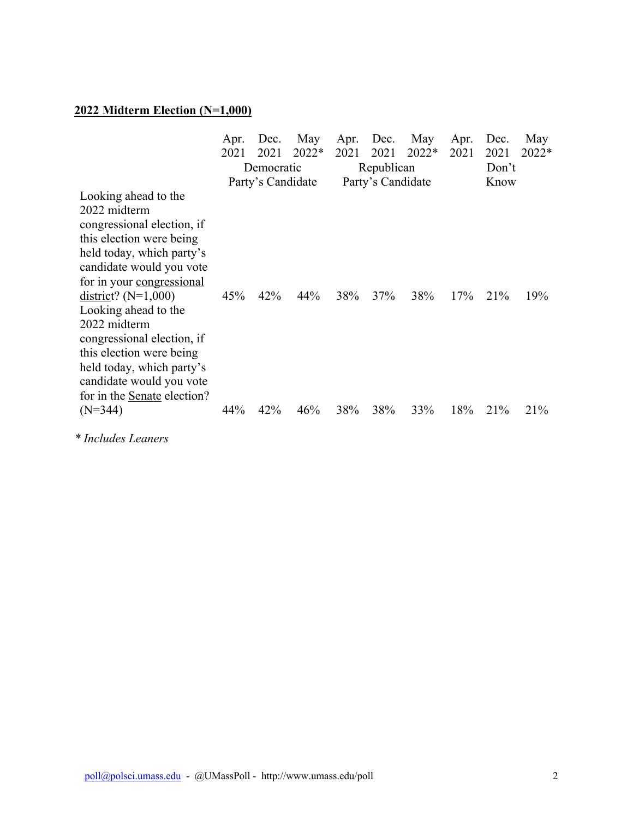# **2022 Midterm Election (N=1,000)**

|                                                                                                                                                                                                                                               | Apr.<br>2021 | Dec.<br>2021      | May<br>$2022*$ | Apr.<br>2021 | Dec.<br>2021      | May<br>2022* | Apr.<br>2021 | Dec.<br>2021 | May<br>2022* |
|-----------------------------------------------------------------------------------------------------------------------------------------------------------------------------------------------------------------------------------------------|--------------|-------------------|----------------|--------------|-------------------|--------------|--------------|--------------|--------------|
|                                                                                                                                                                                                                                               | Democratic   |                   | Republican     |              | Don't             |              |              |              |              |
|                                                                                                                                                                                                                                               |              | Party's Candidate |                |              | Party's Candidate |              |              | Know         |              |
| Looking ahead to the<br>2022 midterm<br>congressional election, if<br>this election were being<br>held today, which party's<br>candidate would you vote                                                                                       |              |                   |                |              |                   |              |              |              |              |
| for in your congressional<br>$district$ ? (N=1,000)<br>Looking ahead to the<br>2022 midterm<br>congressional election, if<br>this election were being<br>held today, which party's<br>candidate would you vote<br>for in the Senate election? | 45%          | 42%               | 44%            | 38%          | 37%               | 38%          | 17%          | 21%          | 19%          |
| $(N=344)$                                                                                                                                                                                                                                     | 44%          | 42%               | 46%            | 38%          | 38%               | 33%          | 18%          | 21%          | 21%          |

*\* Includes Leaners*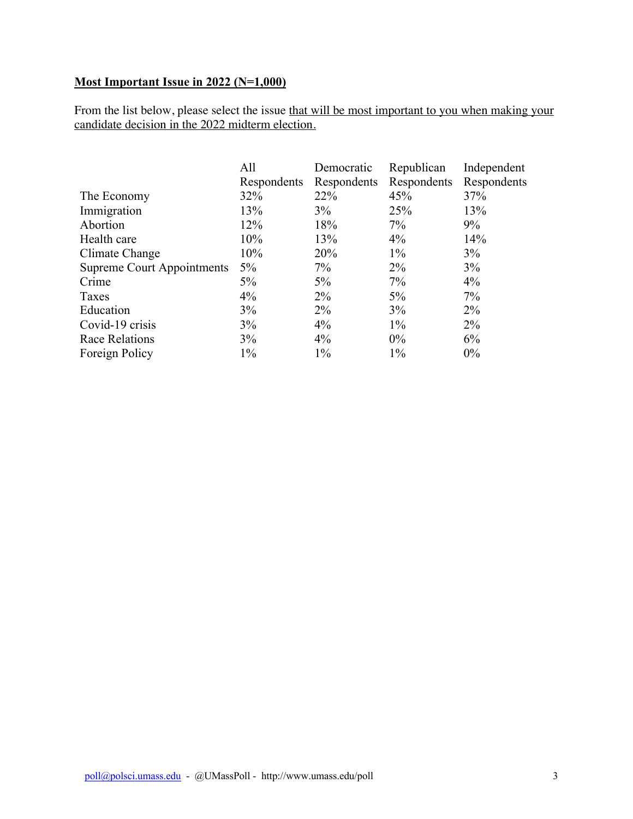### **Most Important Issue in 2022 (N=1,000)**

From the list below, please select the issue that will be most important to you when making your candidate decision in the 2022 midterm election.

|                                   | All         | Democratic  | Republican  | Independent |
|-----------------------------------|-------------|-------------|-------------|-------------|
|                                   | Respondents | Respondents | Respondents | Respondents |
| The Economy                       | 32%         | 22%         | 45%         | 37%         |
| Immigration                       | 13%         | 3%          | 25%         | 13%         |
| Abortion                          | 12%         | 18%         | $7\%$       | $9\%$       |
| Health care                       | 10%         | 13%         | $4\%$       | 14%         |
| Climate Change                    | 10%         | 20%         | $1\%$       | 3%          |
| <b>Supreme Court Appointments</b> | $5\%$       | $7\%$       | $2\%$       | $3\%$       |
| Crime                             | $5\%$       | $5\%$       | $7\%$       | $4\%$       |
| Taxes                             | $4\%$       | $2\%$       | $5\%$       | 7%          |
| Education                         | 3%          | $2\%$       | 3%          | $2\%$       |
| Covid-19 crisis                   | 3%          | $4\%$       | $1\%$       | $2\%$       |
| Race Relations                    | 3%          | $4\%$       | $0\%$       | 6%          |
| Foreign Policy                    | $1\%$       | $1\%$       | $1\%$       | $0\%$       |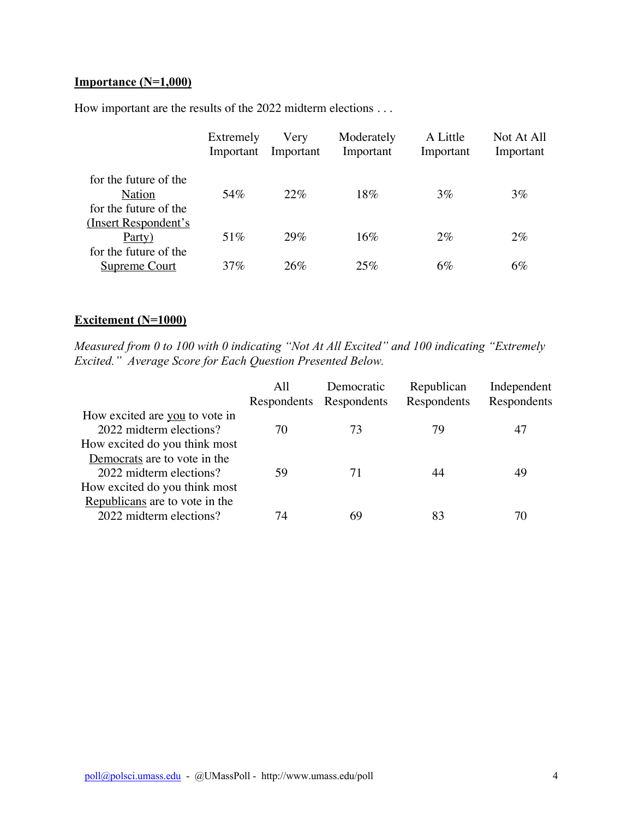#### **Importance (N=1,000)**

How important are the results of the 2022 midterm elections . . .

|                                               | Extremely<br>Important | Very<br>Important | Moderately<br>Important | A Little<br>Important | Not At All<br>Important |
|-----------------------------------------------|------------------------|-------------------|-------------------------|-----------------------|-------------------------|
| for the future of the<br><b>Nation</b>        | 54%                    | 22%               | 18%                     | $3\%$                 | 3%                      |
| for the future of the                         |                        |                   |                         |                       |                         |
| (Insert Respondent's                          |                        |                   |                         |                       |                         |
| Party)                                        | 51\%                   | 29%               | 16%                     | $2\%$                 | $2\%$                   |
| for the future of the<br><b>Supreme Court</b> | $37\%$                 | 26%               | 25%                     | $6\%$                 | $6\%$                   |

#### **Excitement (N=1000)**

*Measured from 0 to 100 with 0 indicating "Not At All Excited" and 100 indicating "Extremely Excited." Average Score for Each Question Presented Below.* 

|                                                                                            | All | Democratic<br>Respondents Respondents | Republican<br>Respondents | Independent<br>Respondents |
|--------------------------------------------------------------------------------------------|-----|---------------------------------------|---------------------------|----------------------------|
| How excited are you to vote in<br>2022 midterm elections?<br>How excited do you think most | 70  | 73                                    | 79                        | 47                         |
| Democrats are to vote in the<br>2022 midterm elections?<br>How excited do you think most   | 59  | 71                                    | 44                        | 49                         |
| Republicans are to vote in the<br>2022 midterm elections?                                  | 74  | 69                                    | 83                        | 70                         |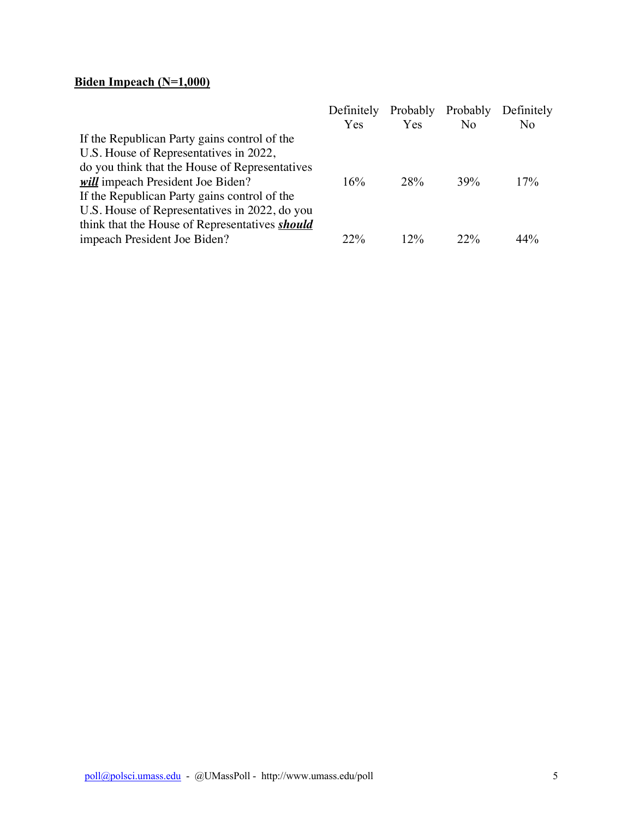## **Biden Impeach (N=1,000)**

| Definitely |            |     | Definitely        |
|------------|------------|-----|-------------------|
| Yes        | Yes        | No  | N <sub>0</sub>    |
|            |            |     |                   |
|            |            |     |                   |
|            |            |     |                   |
| 16%        | <b>28%</b> | 39% | 17%               |
|            |            |     |                   |
|            |            |     |                   |
|            |            |     |                   |
| 22%        | $12\%$     | 22% | 44%               |
|            |            |     | Probably Probably |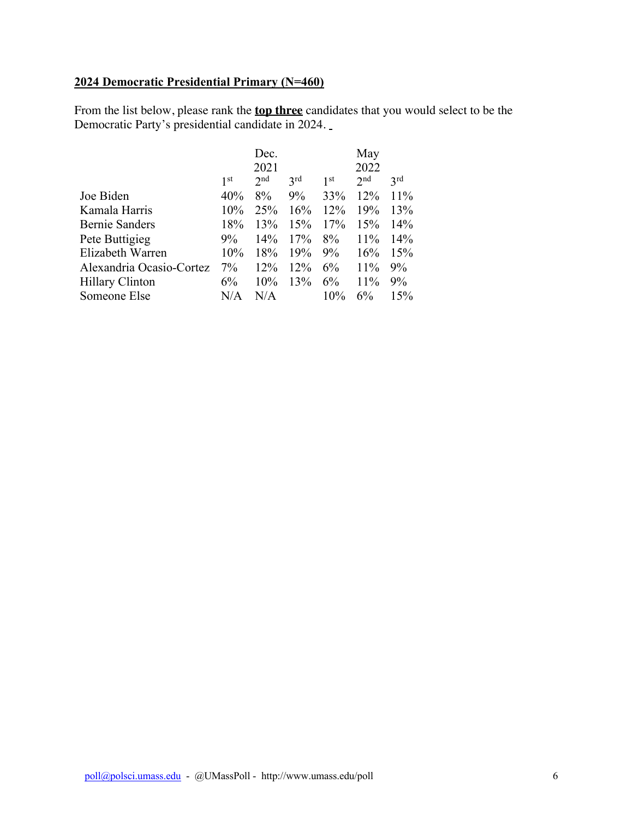### **2024 Democratic Presidential Primary (N=460)**

From the list below, please rank the **top three** candidates that you would select to be the Democratic Party's presidential candidate in 2024.

|                          |                 | Dec.            |                 |                 | May             |     |
|--------------------------|-----------------|-----------------|-----------------|-----------------|-----------------|-----|
|                          |                 | 2021            |                 |                 | 2022            |     |
|                          | 1 <sup>st</sup> | 2 <sub>nd</sub> | 3 <sup>rd</sup> | 1 <sup>st</sup> | 2 <sub>nd</sub> | 3rd |
| Joe Biden                | 40%             | 8%              | $9\%$           | 33%             | 12%             | 11% |
| Kamala Harris            | $10\%$          | 25%             | 16%             | 12%             | 19%             | 13% |
| <b>Bernie Sanders</b>    | 18%             | 13%             | 15%             | 17%             | 15%             | 14% |
| Pete Buttigieg           | 9%              | 14%             | 17%             | 8%              | 11%             | 14% |
| Elizabeth Warren         | 10%             | 18%             | 19%             | $9\%$           | 16%             | 15% |
| Alexandria Ocasio-Cortez | $7\%$           | 12%             | $12\%$          | $6\%$           | 11%             | 9%  |
| Hillary Clinton          | 6%              | 10%             | 13%             | 6%              | 11%             | 9%  |
| Someone Else             | N/A             | N/A             |                 | 10%             | 6%              | 15% |
|                          |                 |                 |                 |                 |                 |     |